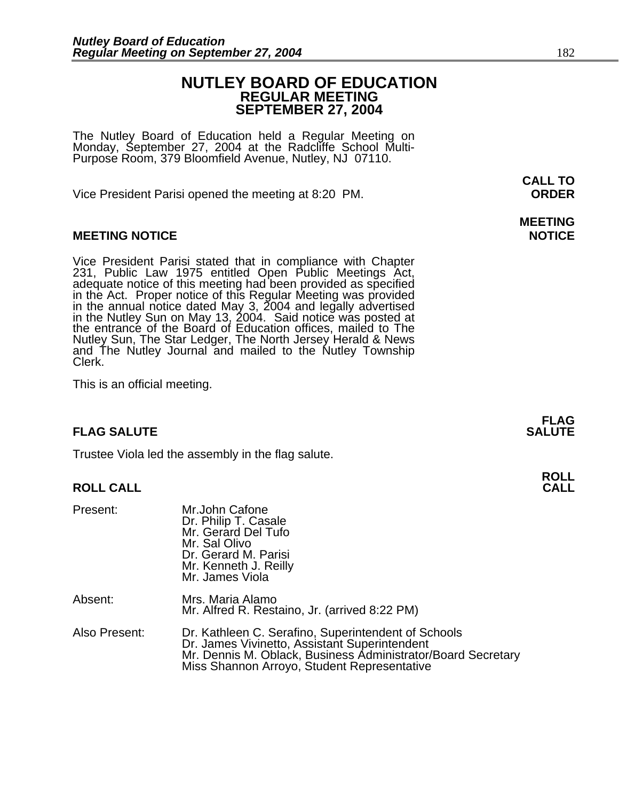### **NUTLEY BOARD OF EDUCATION REGULAR MEETING SEPTEMBER 27, 2004**

The Nutley Board of Education held a Regular Meeting on Monday, September 27, 2004 at the Radcliffe School Multi-Purpose Room, 379 Bloomfield Avenue, Nutley, NJ 07110.

Vice President Parisi opened the meeting at 8:20 PM. **ORDER**

#### **MEETING NOTICE NOTICE**

Vice President Parisi stated that in compliance with Chapter<br>231, Public Law 1975 entitled Open Public Meetings Act, in the Act. Proper notice of this Regular Meeting was provided<br>in the annual notice dated May 3, 2004 and legally advertised<br>in the Nutley Sun on May 13, 2004. Said notice was posted at<br>the entrance of the Board of Educati Nutley Sun, The Star Ledger, The North Jersey Herald & News<br>and The Nutley Journal and mailed to the Nutley Township<br>Clerk.

This is an official meeting.

#### **FLAG SALUTE SALUTE SALUTE**

Trustee Viola led the assembly in the flag salute.

#### **ROLL CALL**

| Present:      | Mr.John Cafone<br>Dr. Philip T. Casale<br>Mr. Gerard Del Tufo<br>Mr. Sal Olivo<br>Dr. Gerard M. Parisi<br>Mr. Kenneth J. Reilly<br>Mr. James Viola                                                                  |
|---------------|---------------------------------------------------------------------------------------------------------------------------------------------------------------------------------------------------------------------|
| Absent:       | Mrs. Maria Alamo<br>Mr. Alfred R. Restaino, Jr. (arrived 8:22 PM)                                                                                                                                                   |
| Also Present: | Dr. Kathleen C. Serafino, Superintendent of Schools<br>Dr. James Vivinetto, Assistant Superintendent<br>Mr. Dennis M. Oblack, Business Administrator/Board Secretary<br>Miss Shannon Arroyo, Student Representative |

**CALL TO** 

## **MEETING**

**FLAG** 

## **ROLL**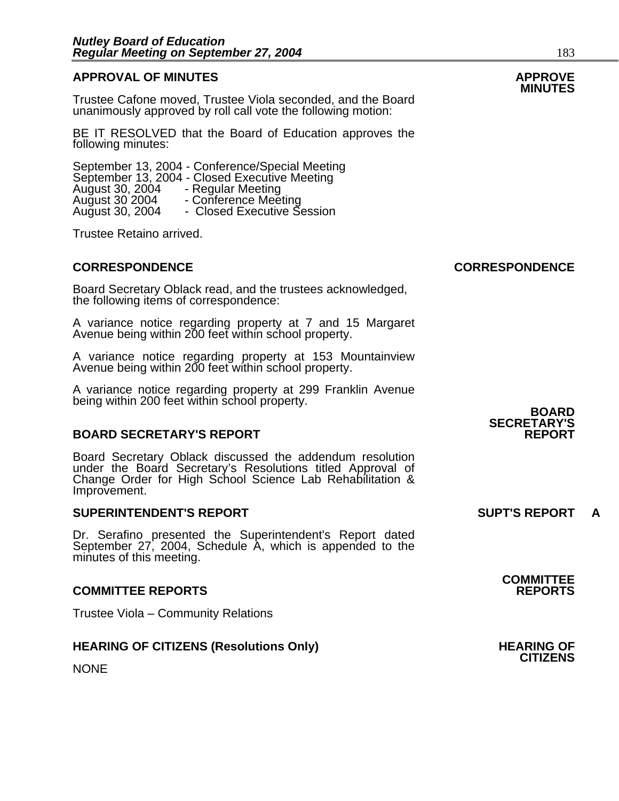## **APPROVAL OF MINUTES APPROVE**

Trustee Cafone moved, Trustee Viola seconded, and the Board unanimously approved by roll call vote the following motion:

BE IT RESOLVED that the Board of Education approves the following minutes:

September 13, 2004 - Conference/Special Meeting<br>September 13, 2004 - Closed Executive Meeting<br>August 30, 2004 - Conference Meeting<br>August 30, 2004 - Closed Executive Session

Trustee Retaino arrived.

Board Secretary Oblack read, and the trustees acknowledged, the following items of correspondence:

A variance notice regarding property at 7 and 15 Margaret Avenue being within 200 feet within school property.

A variance notice regarding property at 153 Mountainview Avenue being within 200 feet within school property.

A variance notice regarding property at 299 Franklin Avenue being within 200 feet within school property. **BOARD** 

#### **BOARD SECRETARY'S REPORT**

Board Secretary Oblack discussed the addendum resolution under the Board Secretary's Resolutions titled Approval of Change Order for High School Science Lab Rehabilitation & Improvement.

#### **SUPERINTENDENT'S REPORT SUPT'S REPORT A**

Dr. Serafino presented the Superintendent's Report dated September 27, 2004, Schedule A, which is appended to the minutes of this meeting.

#### **COMMITTEE REPORTS REPORTS**

Trustee Viola – Community Relations

#### **HEARING OF CITIZENS (Resolutions Only) THEARING OF STATE AND REARING OF**

**NONE** 

# **SECRETARY'S**

**COMMITTEE** 

**CITIZENS** 

**CORRESPONDENCE CORRESPONDENCE**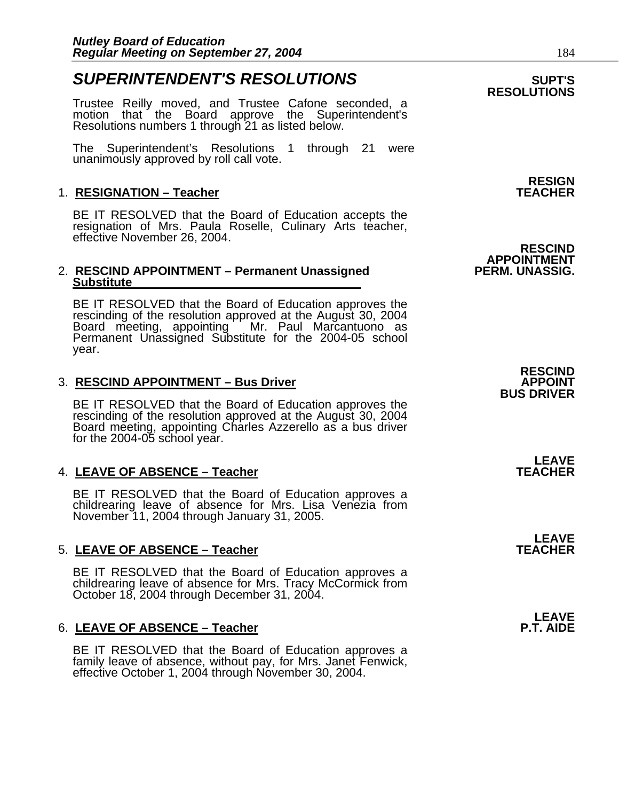### **SUPERINTENDENT'S RESOLUTIONS** *SUPERINTENDENT'S*

Trustee Reilly moved, and Trustee Cafone seconded, a motion that the Board approve the Superintendent's Resolutions numbers 1 through 21 as listed below.

The Superintendent's Resolutions 1 through 21 were unanimously approved by roll call vote.

#### 1. **RESIGNATION – Teacher**

BE IT RESOLVED that the Board of Education accepts the resignation of Mrs. Paula Roselle, Culinary Arts teacher, effective November 26, 2004.

#### 2. **RESCIND APPOINTMENT – Permanent Unassigned Substitute**

BE IT RESOLVED that the Board of Education approves the rescinding of the resolution approved at the August 30, 2004 Board meeting, appointing Mr. Paul Marcantuono as Permanent Unassigned Substitute for the 2004-05 school year.

#### **3. RESCIND APPOINTMENT – Bus Driver**

BE IT RESOLVED that the Board of Education approves the rescinding of the resolution approved at the August 30, 2004 Board meeting, appointing Charles Azzerello as a bus driver for the 2004-05 school year.

#### 4. LEAVE OF ABSENCE - Teacher

BE IT RESOLVED that the Board of Education approves a childrearing leave of absence for Mrs. Lisa Venezia from November 11, 2004 through January 31, 2005.

#### 5. LEAVE OF ABSENCE - Teacher

BE IT RESOLVED that the Board of Education approves a childrearing leave of absence for Mrs. Tracy McCormick from October 18, 2004 through December 31, 2004.

#### 6. LEAVE OF ABSENCE - Teacher

BE IT RESOLVED that the Board of Education approves a family leave of absence, without pay, for Mrs. Janet Fenwick, effective October 1, 2004 through November 30, 2004.

**RESIGN**

### **RESCIND APPOINTMENT**

**LEAVE**<br>TEACHER

**LEAVE**<br>TEACHER

**LEAVE**<br>**P.T. AIDE** 

## **RESOLUTIONS**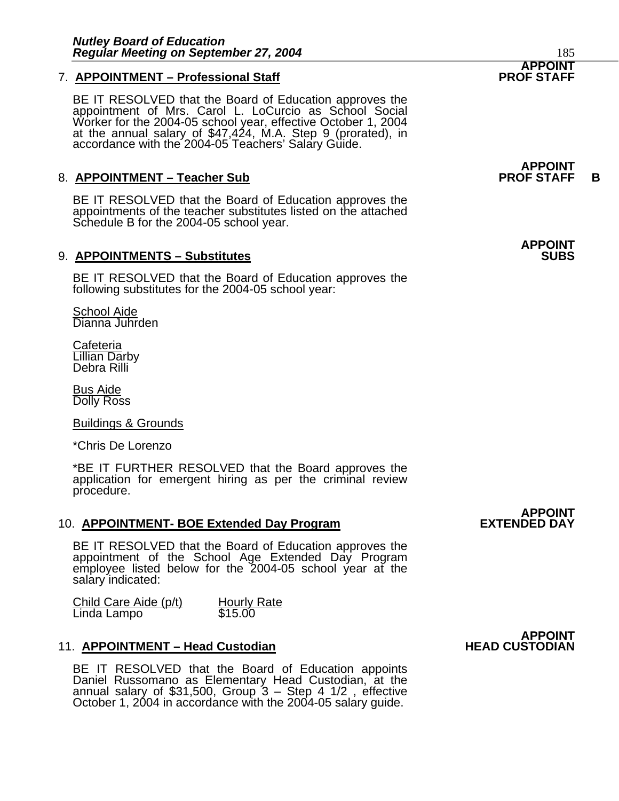#### **7. APPOINTMENT - Professional Staff**

BE IT RESOLVED that the Board of Education approves the<br>appointment of Mrs. Carol L. LoCurcio as School Social Worker for the 2004-05 school year, effective October 1, 2004<br>at the annual salary of \$47,424, M.A. Step 9 (prorated), in<br>accordance with the 2004-05 Teachers' Salary Guide.

#### 8. APPOINTMENT – Teacher Sub **PROF STAFF** B

BE IT RESOLVED that the Board of Education approves the appointments of the teacher substitutes listed on the attached Schedule B for the 2004-05 school year.

#### 9. **APPOINTMENTS – Substitutes**

BE IT RESOLVED that the Board of Education approves the following substitutes for the 2004-05 school year:

School Aide Dianna Juhrden

<u>Cafeteria</u> Lillian Darby Debra Rilli

Bus Aide Dolly Ross

Buildings & Grounds

\*Chris De Lorenzo

\*BE IT FURTHER RESOLVED that the Board approves the application for emergent hiring as per the criminal review procedure.

#### 10. **APPOINTMENT- BOE Extended Day Program**

BE IT RESOLVED that the Board of Education approves the appointment of the School Age Extended Day Program employee listed below for the 2004-05 school year at the salary indicated:

Child Care Aide (p/t) Hourly Rate<br>Linda Lampo \$15.00

#### 11. **APPOINTMENT – Head Custodian HEAD CUSTODIAN**

BE IT RESOLVED that the Board of Education appoints<br>Daniel Russomano as Elementary Head Custodian, at the<br>annual salary of \$31,500, Group 3 – Step 4 1/2, effective<br>October 1, 2004 in accordance with the 2004-05 salary guid

 **APPOINT** 

## **APPOINT**

**APPOINT** 

**APPOINT** 

# **APPOINT<br>EXTENDED DAY**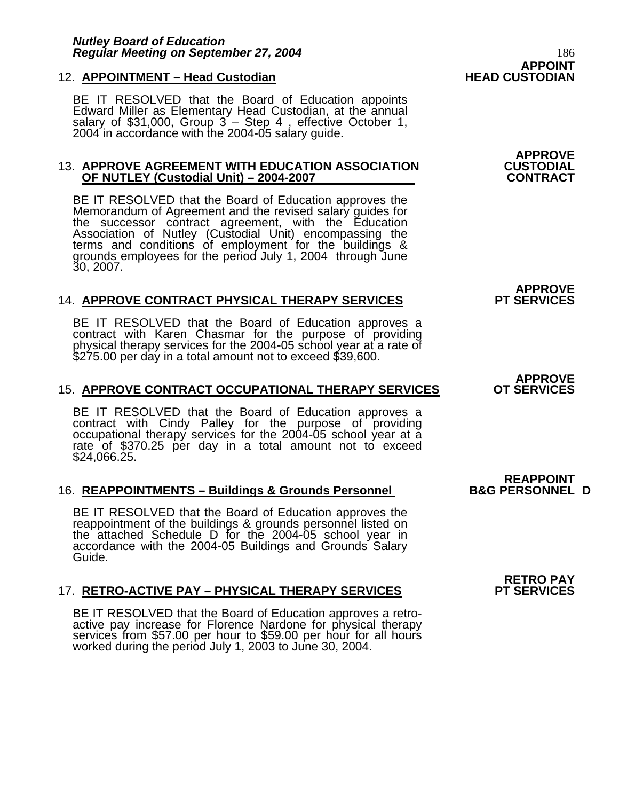#### 12. **APPOINTMENT – Head Custodian HEAD CUSTODIAN**

BE IT RESOLVED that the Board of Education appoints Edward Miller as Elementary Head Custodian, at the annual salary of \$31,000, Group 3 – Step 4, effective October 1, 2004 in accordance with the 2004-05 salary guide.

#### 13. **APPROVE AGREEMENT WITH EDUCATION ASSOCIATION CUSTODIAL OF NUTLEY (Custodial Unit) – 2004-2007 CONTRACT**

BE IT RESOLVED that the Board of Education approves the<br>Memorandum of Agreement and the revised salary guides for<br>the successor contract agreement, with the Education Association of Nutley (Custodial Unit) encompassing the terms and conditions of employment for the buildings & grounds employees for the period July 1, 2004 through June 30, 2007.

#### 14. APPROVE CONTRACT PHYSICAL THERAPY SERVICES

BE IT RESOLVED that the Board of Education approves a contract with Karen Chasmar for the purpose of providing physical therapy services for the 2004-05 school year at a rate of \$275.00 per day in a total amount not to exceed \$39,600.

#### 15. **APPROVE CONTRACT OCCUPATIONAL THERAPY SERVICES OT SERVICES**

BE IT RESOLVED that the Board of Education approves a contract with Cindy Palley for the purpose of providing occupational therapy services for the 2004-05 school year at a rate of \$370.25 per day in a total amount not to \$24,066.25.

#### 16. REAPPOINTMENTS - Buildings & Grounds Personnel

BE IT RESOLVED that the Board of Education approves the reappointment of the buildings & grounds personnel listed on the attached Schedule D for the 2004-05 school year in accordance with the 2004-05 Buildings and Grounds Salary Guide.

#### 17. RETRO-ACTIVE PAY - PHYSICAL THERAPY SERVICES

BE IT RESOLVED that the Board of Education approves a retroactive pay increase for Florence Nardone for physical therapy services from \$57.00 per hour to \$59.00 per hour for all hours worked during the period July 1, 2003 to June 30, 2004.

**APPROVE**

**APPROVE**

**APPROVE**

**REAPPOINT<br>B&G PERSONNEL D** 

 **RETRO PAY**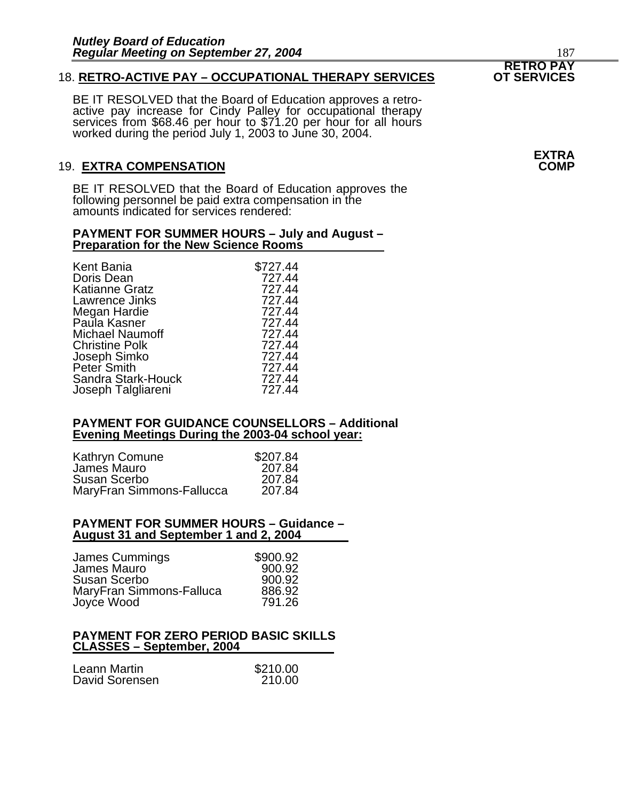#### 18. RETRO-ACTIVE PAY - OCCUPATIONAL THERAPY SERVICES

BE IT RESOLVED that the Board of Education approves a retroactive pay increase for Cindy Palley for occupational therapy services from \$68.46 per hour to \$71.20 per hour for all hours worked during the period July 1, 2003 to June 30, 2004.

#### 19. **EXTRA COMPENSATION COMP**

BE IT RESOLVED that the Board of Education approves the following personnel be paid extra compensation in the amounts indicated for services rendered:

#### **PAYMENT FOR SUMMER HOURS – July and August – Preparation for the New Science Rooms**

| Kent Bania             | \$727.44 |
|------------------------|----------|
| Doris Dean             | 727.44   |
| Katianne Gratz         | 727.44   |
| Lawrence Jinks         | 727.44   |
| Megan Hardie           | 727.44   |
| Paula Kasner           | 727.44   |
| <b>Michael Naumoff</b> | 727.44   |
| <b>Christine Polk</b>  | 727.44   |
| Joseph Simko           | 727.44   |
| Peter Smith            | 727.44   |
| Sandra Stark-Houck     | 727.44   |
| Joseph Talgliareni     | 727.44   |
|                        |          |

#### **PAYMENT FOR GUIDANCE COUNSELLORS – Additional Evening Meetings During the 2003-04 school year:**

| Kathryn Comune            | \$207.84 |
|---------------------------|----------|
| James Mauro               | 207.84   |
| Susan Scerbo              | 207.84   |
| MaryFran Simmons-Fallucca | 207.84   |

#### **PAYMENT FOR SUMMER HOURS – Guidance – August 31 and September 1 and 2, 2004**

| James Cummings           | \$900.92 |
|--------------------------|----------|
| James Mauro              | 900.92   |
| Susan Scerbo             | 900.92   |
| MaryFran Simmons-Falluca | 886.92   |
| Joyce Wood               | 791.26   |

#### **PAYMENT FOR ZERO PERIOD BASIC SKILLS CLASSES – September, 2004**

| Leann Martin   | \$210.00 |
|----------------|----------|
| David Sorensen | 210.00   |

 **RETRO PAY** 

**EXTRA**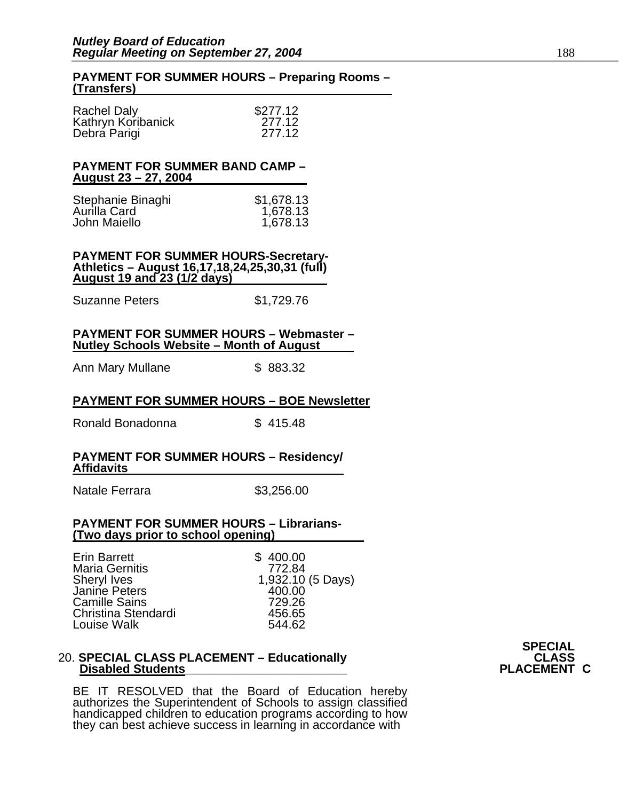#### **PAYMENT FOR SUMMER HOURS – Preparing Rooms – (Transfers)**

| <b>Rachel Daly</b> | \$277.12 |
|--------------------|----------|
| Kathryn Koribanick | 277.12   |
| Debra Parigi       | 277.12   |

#### **PAYMENT FOR SUMMER BAND CAMP – August 23 – 27, 2004**

| Stephanie Binaghi | \$1,678.13 |
|-------------------|------------|
| Aurilla Card      | 1,678.13   |
| John Maiello      | 1,678.13   |

**PAYMENT FOR SUMMER HOURS-Secretary-Athletics – August 16,17,18,24,25,30,31 (full) August 19 and 23 (1/2 days)**

Suzanne Peters \$1,729.76

#### **PAYMENT FOR SUMMER HOURS – Webmaster – Nutley Schools Website – Month of August**

Ann Mary Mullane \$ 883.32

#### **PAYMENT FOR SUMMER HOURS – BOE Newsletter**

Ronald Bonadonna \$415.48

#### **PAYMENT FOR SUMMER HOURS – Residency/ Affidavits**

Natale Ferrara  $$3,256.00$ 

#### **PAYMENT FOR SUMMER HOURS – Librarians- (Two days prior to school opening)**

#### 20. **SPECIAL CLASS PLACEMENT – Educationally CLASS CLASS CLASS CLASS CLASS CLASS Disabled Students**

BE IT RESOLVED that the Board of Education hereby authorizes the Superintendent of Schools to assign classified handicapped children to education programs according to how they can best achieve success in learning in accordance with **SPECIAL**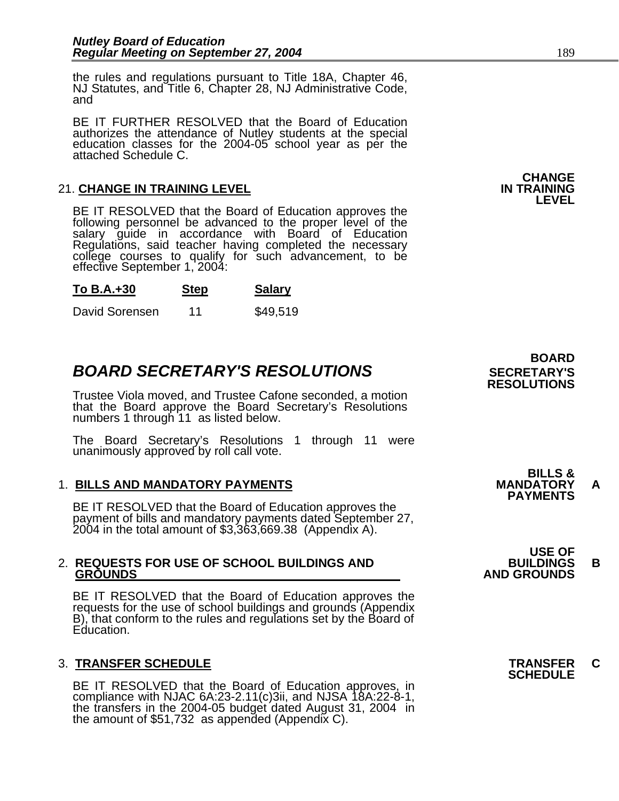the rules and regulations pursuant to Title 18A, Chapter 46, NJ Statutes, and Title 6, Chapter 28, NJ Administrative Code, and

BE IT FURTHER RESOLVED that the Board of Education authorizes the attendance of Nutley students at the special education classes for the 2004-05 school year as per the attached Schedule C.

#### **21. CHANGE IN TRAINING LEVEL**

BE IT RESOLVED that the Board of Education approves the following personnel be advanced to the proper level of the salary guide in accordance with Board of Education Regulations, said teacher having completed the necessary college courses to qualify for such advancement, to be effective September 1, 2004:

#### **To B.A.+30 Step Salary**

David Sorensen 11 \$49,519

## **BOARD SECRETARY'S RESOLUTIONS** SECRETARY'S

Trustee Viola moved, and Trustee Cafone seconded, a motion that the Board approve the Board Secretary's Resolutions numbers 1 through 11 as listed below.

The Board Secretary's Resolutions 1 through 11 were unanimously approved by roll call vote.

1. BILLS AND MANDATORY PAYMENTS<br>BE IT RESOLVED that the Board of Education approves the **PAYMENTS** payment of bills and mandatory payments dated September 27, 2004 in the total amount of \$3,363,669.38 (Appendix A).

## 2. **REQUESTS FOR USE OF SCHOOL BUILDINGS AND BUILDINGS B**

BE IT RESOLVED that the Board of Education approves the requests for the use of school buildings and grounds (Appendix B), that conform to the rules and regulations set by the Board of Education.

## 3. **TRANSFER SCHEDULE TRANSFER C SCHEDULE**

BE IT RESOLVED that the Board of Education approves, in compliance with NJAC 6A:23-2.11(c)3ii, and NJSA 18A:22-8-1, the transfers in the 2004-05 budget dated August 31, 2004 in the amount of \$51,732 as appended (Appendix C



**BILLS &** 

### **USE OF GROUNDS AND GROUNDS**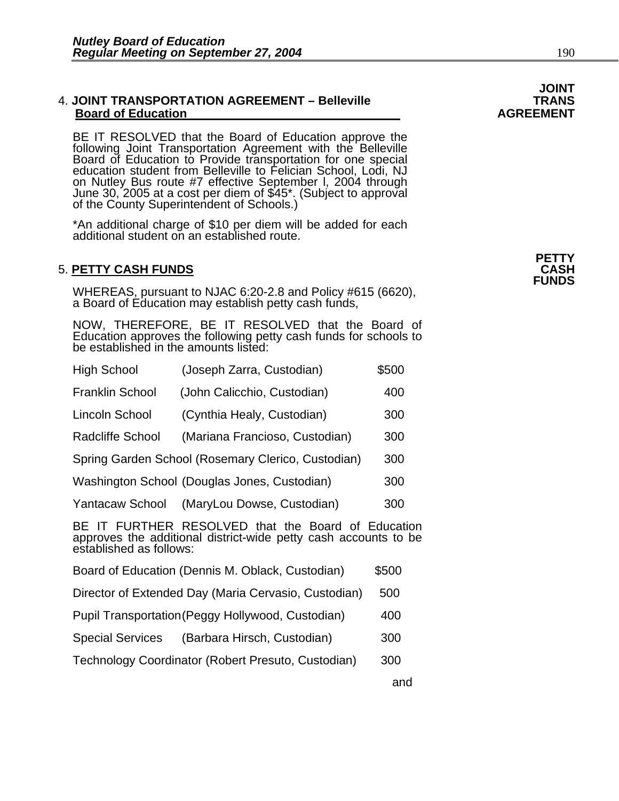#### 4. **JOINT TRANSPORTATION AGREEMENT – Belleville TRANS Board of Education**

BE IT RESOLVED that the Board of Education approve the following Joint Transportation Agreement with the Belleville Board of Education to Provide transportation for one special<br>education student from Belleville to Felician School, Lodi, NJ on Nutley Bus route #7 effective September I, 2004 through<br>June 30, 2005 at a cost per diem of \$45\*. (Subject to approval<br>of the County Superintendent of Schools.)

\*An additional charge of \$10 per diem will be added for each additional student on an established route.

## **PETTY** 5. **PETTY CASH FUNDS CASH**

WHEREAS, pursuant to NJAC 6:20-2.8 and Policy #615 (6620), a Board of Education may establish petty cash funds,

NOW, THEREFORE, BE IT RESOLVED that the Board of Education approves the following petty cash funds for schools to be established in the amounts listed:

| High School                                                                                                                                                | (Joseph Zarra, Custodian)                          | \$500 |  |
|------------------------------------------------------------------------------------------------------------------------------------------------------------|----------------------------------------------------|-------|--|
| <b>Franklin School</b>                                                                                                                                     | (John Calicchio, Custodian)                        | 400   |  |
| Lincoln School                                                                                                                                             | (Cynthia Healy, Custodian)                         | 300   |  |
| <b>Radcliffe School</b>                                                                                                                                    | (Mariana Francioso, Custodian)                     | 300   |  |
| Spring Garden School (Rosemary Clerico, Custodian)<br>300                                                                                                  |                                                    |       |  |
|                                                                                                                                                            | Washington School (Douglas Jones, Custodian)       | 300   |  |
| Yantacaw School                                                                                                                                            | (MaryLou Dowse, Custodian)                         | 300   |  |
| IT FURTHER RESOLVED that the Board of Education<br><b>BF</b><br>approves the additional district-wide petty cash accounts to be<br>established as follows: |                                                    |       |  |
|                                                                                                                                                            | Board of Education (Dennis M. Oblack, Custodian)   | \$500 |  |
| Director of Extended Day (Maria Cervasio, Custodian)<br>500                                                                                                |                                                    |       |  |
|                                                                                                                                                            | Pupil Transportation (Peggy Hollywood, Custodian)  | 400   |  |
| Special Services                                                                                                                                           | (Barbara Hirsch, Custodian)                        | 300   |  |
|                                                                                                                                                            | Technology Coordinator (Robert Presuto, Custodian) | 300   |  |
|                                                                                                                                                            |                                                    | and   |  |



**JOINT**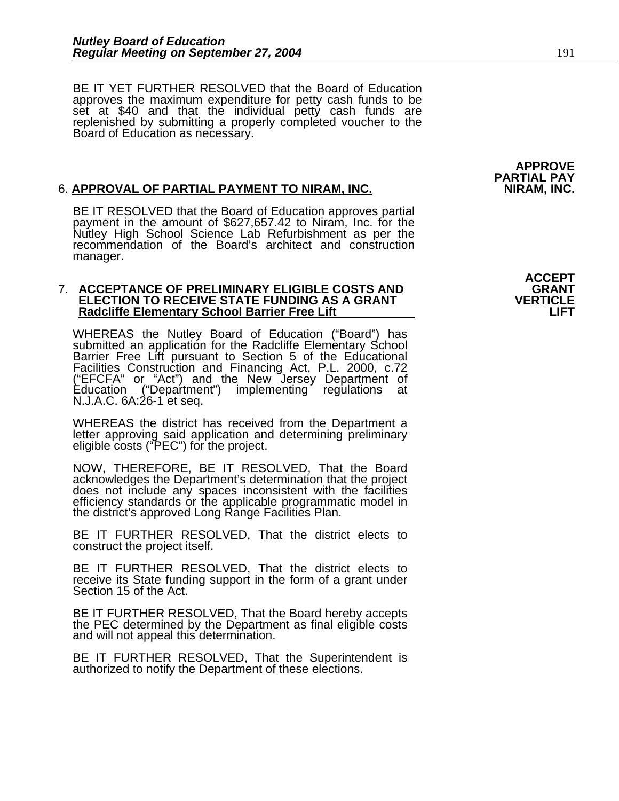BE IT YET FURTHER RESOLVED that the Board of Education approves the maximum expenditure for petty cash funds to be set at \$40 and that the individual petty cash funds are replenished by submitting a properly completed voucher to the Board of Education as necessary.

#### 6. **APPROVAL OF PARTIAL PAYMENT TO NIRAM, INC. NIRAM, INC.**

BE IT RESOLVED that the Board of Education approves partial payment in the amount of \$627,657.42 to Niram, Inc. for the Nutley High School Science Lab Refurbishment as per the recommendation of the Board's architect and construction manager.

# 7. **ACCEPTANCE OF PRELIMINARY ELIGIBLE COSTS AND GRANT ELECTION TO RECEIVE STATE FUNDING AS A GRANT VERTICLE Radcliffe Elementary School Barrier Free Lift LIFT**

WHEREAS the Nutley Board of Education ("Board") has<br>submitted an application for the Radcliffe Elementary School<br>Barrier Free Lift pursuant to Section 5 of the Educational Facilities Construction and Financing Act, P.L. 2000, c.72<br>("EFCFA" or "Act") and the New Jersey Department of<br>Education ("Department") implementing regulations at<br>N.J.A.C. 6A:26-1 et seq.

WHEREAS the district has received from the Department a letter approving said application and determining preliminary eligible costs ("PEC") for the project.

NOW, THEREFORE, BE IT RESOLVED, That the Board does not include any spaces inconsistent with the facilities efficiency standards or the applicable programmatic model in the district's approved Long Range Facilities Plan.

BE IT FURTHER RESOLVED, That the district elects to construct the project itself.

BE IT FURTHER RESOLVED, That the district elects to receive its State funding support in the form of a grant under Section 15 of the Act.

BE IT FURTHER RESOLVED, That the Board hereby accepts the PEC determined by the Department as final eligible costs and will not appeal this determination.

BE IT FURTHER RESOLVED, That the Superintendent is authorized to notify the Department of these elections.

**APPROVE PARTIAL PAY**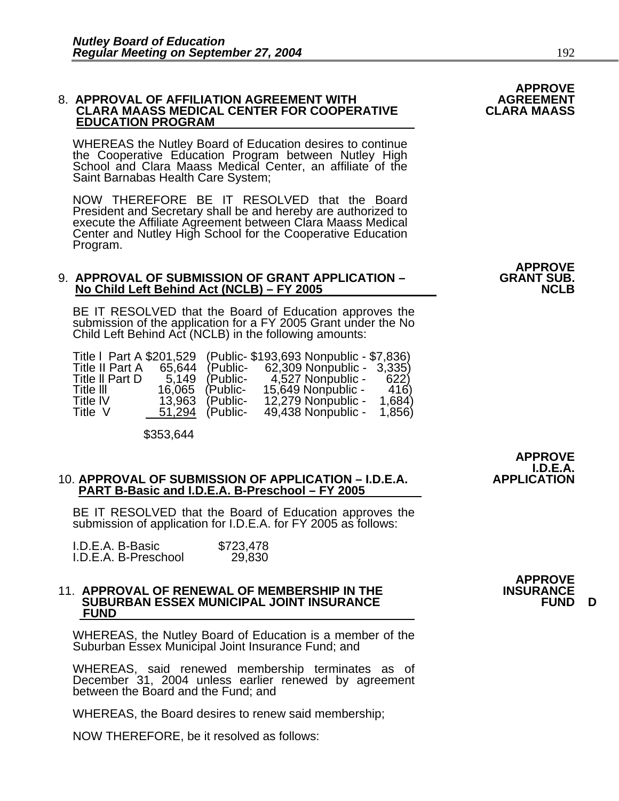# 8. APPROVAL OF AFFILIATION AGREEMENT WITH **AGREEMENT**<br>CLARA MAASS MEDICAL CENTER FOR COOPERATIVE **CLARA MAASS**<br>EDUCATION PROGRAM

WHEREAS the Nutley Board of Education desires to continue the Cooperative Education Program between Nutley High School and Clara Maass Medical Center, an affiliate of the Saint Barnabas Health Care System;

NOW THEREFORE BE IT RESOLVED that the Board<br>President and Secretary shall be and hereby are authorized to execute the Affiliate Agreement between Clara Maass Medical Center and Nutley High School for the Cooperative Education Program.

#### 9. **APPROVAL OF SUBMISSION OF GRANT APPLICATION – GRANT SUB. No Child Left Behind Act (NCLB) – FY 2005**

BE IT RESOLVED that the Board of Education approves the submission of the application for a FY 2005 Grant under the No Child Left Behind Act (NCLB) in the following amounts:

| Title   Part A \$201,529 |        |          | (Public- \$193,693 Nonpublic - \$7,836) |
|--------------------------|--------|----------|-----------------------------------------|
| <b>Title II Part A</b>   | 65.644 | (Public- | 62,309 Nonpublic - 3,335)               |
| Title II Part D          | 5.149  | (Public- | 4,527 Nonpublic -<br>622)               |
| Title III                | 16,065 | (Public- | 15,649 Nonpublic -<br>416)              |
| <b>Title IV</b>          | 13.963 | (Public- | 1,684)<br>12,279 Nonpublic -            |
| Title V                  | 51,294 | (Public- | 49,438 Nonpublic -<br>1,856)            |

\$353,644

## 10. **APPROVAL OF SUBMISSION OF APPLICATION – I.D.E.A. APPLICATION PART B-Basic and I.D.E.A. B-Preschool – FY 2005**

BE IT RESOLVED that the Board of Education approves the submission of application for I.D.E.A. for FY 2005 as follows:

| I.D.E.A. B-Basic     | \$723,478 |
|----------------------|-----------|
| I.D.E.A. B-Preschool | 29,830    |

#### 11. APPROVAL OF RENEWAL OF MEMBERSHIP IN THE **INSURANCE SUBURBAN ESSEX MUNICIPAL JOINT INSURANCE FUND D FUND**

WHEREAS, the Nutley Board of Education is a member of the Suburban Essex Municipal Joint Insurance Fund; and

WHEREAS, said renewed membership terminates as of December 31, 2004 unless earlier renewed by agreement<br>between the Board and the Fund; and

WHEREAS, the Board desires to renew said membership;

NOW THEREFORE, be it resolved as follows:

# **APPROVE**

**APPROVE** 

 **APPROVE I.D.E.A.**<br>APPLICATION

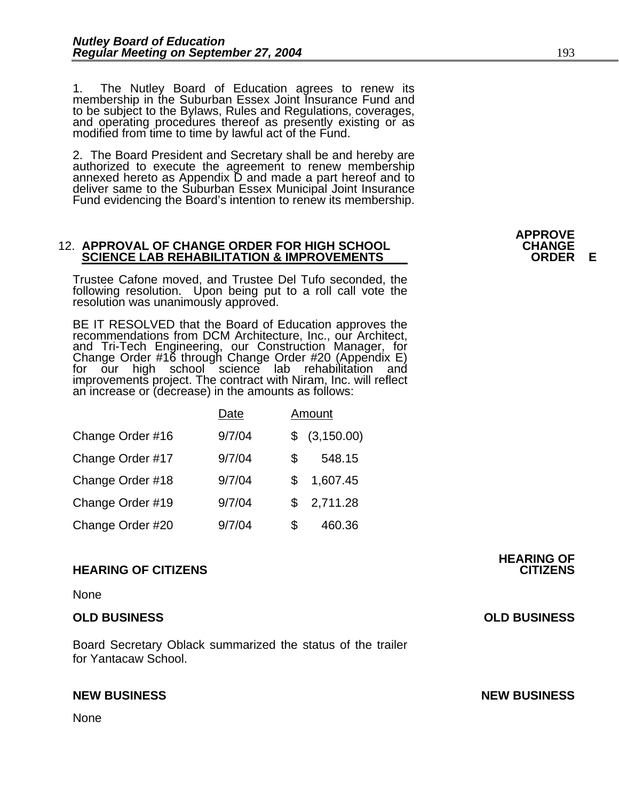1. The Nutley Board of Education agrees to renew its membership in the Suburban Essex Joint Insurance Fund and to be subject to the Bylaws, Rules and Regulations, coverages, and operating procedures thereof as presently existing or as modified from time to time by lawful act of the Fund.

2. The Board President and Secretary shall be and hereby are authorized to execute the agreement to renew membership annexed hereto as Appendix D and made a part hereof and to deliver same to the Suburban Essex Municipal J

#### 12. **APPROVAL OF CHANGE ORDER FOR HIGH SCHOOL CHANGE SCIENCE LAB REHABILITATION & IMPROVEMENTS ORDER E**

Trustee Cafone moved, and Trustee Del Tufo seconded, the following resolution. Upon being put to a roll call vote the resolution was unanimously approved.

BE IT RESOLVED that the Board of Education approves the recommendations from DCM Architecture, Inc., our Architect, and Tri-Tech Engineering, our Construction Manager, for<br>Change Order #16 through Change Order #20 (Appendix E)<br>for our high school science lab rehabilitation and for our high school science lab rehabilitation and<br>improvements project. The contract with Niram, Inc. will reflect an increase or (decrease) in the amounts as follows:

|                  | Date   |    | Amount        |
|------------------|--------|----|---------------|
| Change Order #16 | 9/7/04 |    | \$ (3,150.00) |
| Change Order #17 | 9/7/04 | S  | 548.15        |
| Change Order #18 | 9/7/04 | S  | 1,607.45      |
| Change Order #19 | 9/7/04 | \$ | 2,711.28      |
| Change Order #20 | 9/7/04 | S  | 460.36        |

#### **HEARING OF CITIZENS CITIZENS**

None

#### **OLD BUSINESS OLD BUSINESS**

Board Secretary Oblack summarized the status of the trailer for Yantacaw School.

None

**APPROVE** 

**HEARING OF** 

**NEW BUSINESS NEW BUSINESS**